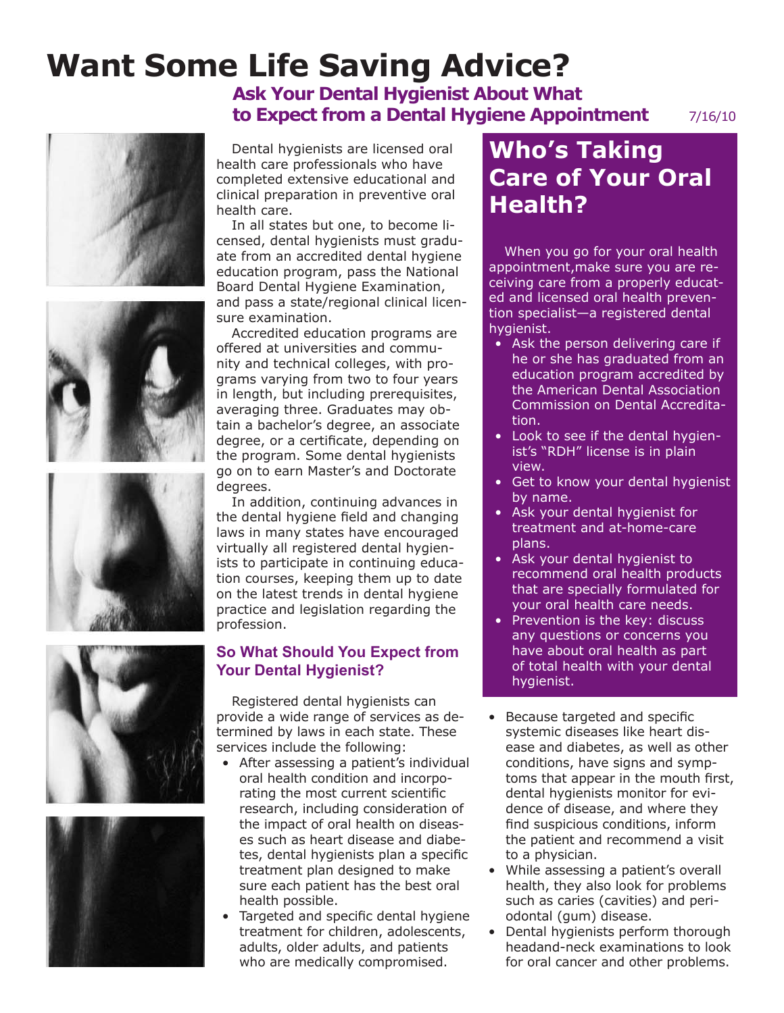## **Want Some Life Saving Advice?**

**Ask Your Dental Hygienist About What to Expect from a Dental Hygiene Appointment** 7/16/10









Dental hygienists are licensed oral health care professionals who have completed extensive educational and clinical preparation in preventive oral health care.

In all states but one, to become licensed, dental hygienists must graduate from an accredited dental hygiene education program, pass the National Board Dental Hygiene Examination, and pass a state/regional clinical licensure examination.

Accredited education programs are offered at universities and community and technical colleges, with programs varying from two to four years in length, but including prerequisites, averaging three. Graduates may obtain a bachelor's degree, an associate degree, or a certificate, depending on the program. Some dental hygienists go on to earn Master's and Doctorate degrees.

In addition, continuing advances in the dental hygiene field and changing laws in many states have encouraged virtually all registered dental hygienists to participate in continuing education courses, keeping them up to date on the latest trends in dental hygiene practice and legislation regarding the profession.

## **So What Should You Expect from Your Dental Hygienist?**

Registered dental hygienists can provide a wide range of services as determined by laws in each state. These services include the following:

- After assessing a patient's individual oral health condition and incorporating the most current scientific research, including consideration of the impact of oral health on diseases such as heart disease and diabetes, dental hygienists plan a specific treatment plan designed to make sure each patient has the best oral health possible.
- Targeted and specific dental hygiene treatment for children, adolescents, adults, older adults, and patients who are medically compromised.

## **Who's Taking Care of Your Oral Health?**

When you go for your oral health appointment,make sure you are receiving care from a properly educated and licensed oral health prevention specialist—a registered dental hygienist.

- Ask the person delivering care if he or she has graduated from an education program accredited by the American Dental Association Commission on Dental Accreditation.
- Look to see if the dental hygienist's "RDH" license is in plain view.
- Get to know your dental hygienist by name.
- Ask your dental hygienist for treatment and at-home-care plans.
- Ask your dental hygienist to recommend oral health products that are specially formulated for your oral health care needs.
- Prevention is the key: discuss any questions or concerns you have about oral health as part of total health with your dental hygienist.
- Because targeted and specific systemic diseases like heart disease and diabetes, as well as other conditions, have signs and symptoms that appear in the mouth first, dental hygienists monitor for evidence of disease, and where they find suspicious conditions, inform the patient and recommend a visit to a physician.
- While assessing a patient's overall health, they also look for problems such as caries (cavities) and periodontal (gum) disease.
- Dental hygienists perform thorough headand-neck examinations to look for oral cancer and other problems.